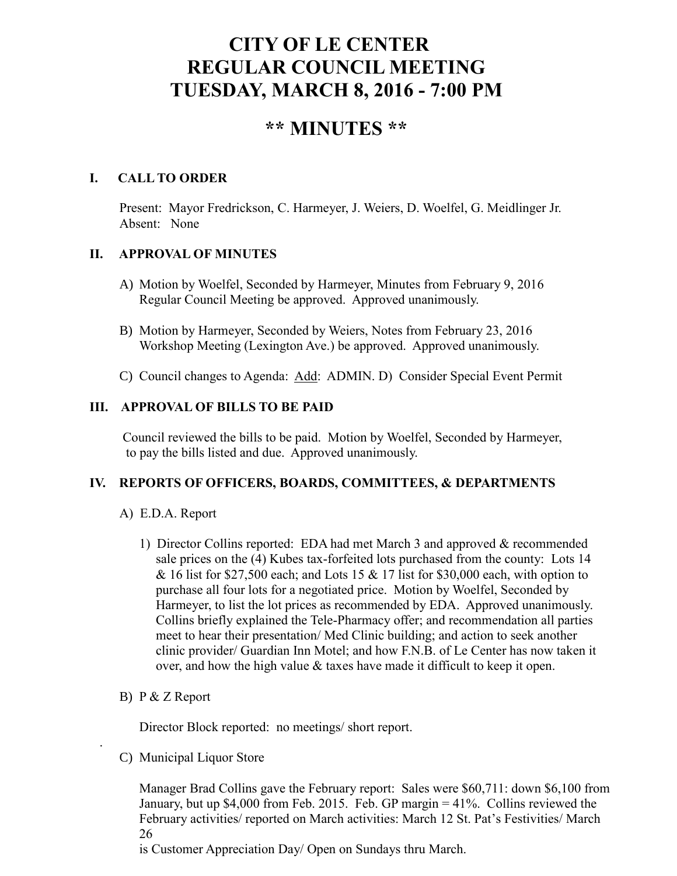# **CITY OF LE CENTER REGULAR COUNCIL MEETING TUESDAY, MARCH 8, 2016 - 7:00 PM**

# **\*\* MINUTES \*\***

# **I. CALL TO ORDER**

Present: Mayor Fredrickson, C. Harmeyer, J. Weiers, D. Woelfel, G. Meidlinger Jr. Absent: None

# **II. APPROVAL OF MINUTES**

- A) Motion by Woelfel, Seconded by Harmeyer, Minutes from February 9, 2016 Regular Council Meeting be approved. Approved unanimously.
- B) Motion by Harmeyer, Seconded by Weiers, Notes from February 23, 2016 Workshop Meeting (Lexington Ave.) be approved. Approved unanimously.
- C) Council changes to Agenda: Add: ADMIN. D) Consider Special Event Permit

# **III. APPROVAL OF BILLS TO BE PAID**

Council reviewed the bills to be paid. Motion by Woelfel, Seconded by Harmeyer, to pay the bills listed and due. Approved unanimously.

#### **IV. REPORTS OF OFFICERS, BOARDS, COMMITTEES, & DEPARTMENTS**

#### A) E.D.A. Report

- 1) Director Collins reported: EDA had met March 3 and approved & recommended sale prices on the (4) Kubes tax-forfeited lots purchased from the county: Lots 14 & 16 list for \$27,500 each; and Lots 15 & 17 list for \$30,000 each, with option to purchase all four lots for a negotiated price. Motion by Woelfel, Seconded by Harmeyer, to list the lot prices as recommended by EDA. Approved unanimously. Collins briefly explained the Tele-Pharmacy offer; and recommendation all parties meet to hear their presentation/ Med Clinic building; and action to seek another clinic provider/ Guardian Inn Motel; and how F.N.B. of Le Center has now taken it over, and how the high value & taxes have made it difficult to keep it open.
- B) P & Z Report

.

Director Block reported: no meetings/ short report.

C) Municipal Liquor Store

Manager Brad Collins gave the February report: Sales were \$60,711: down \$6,100 from January, but up \$4,000 from Feb. 2015. Feb. GP margin = 41%. Collins reviewed the February activities/ reported on March activities: March 12 St. Pat's Festivities/ March 26

is Customer Appreciation Day/ Open on Sundays thru March.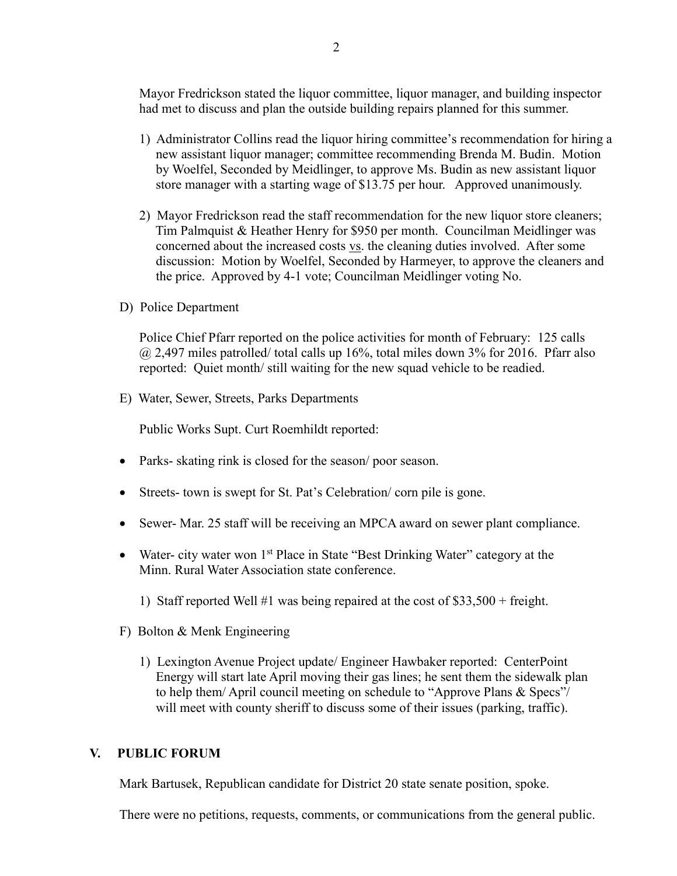Mayor Fredrickson stated the liquor committee, liquor manager, and building inspector had met to discuss and plan the outside building repairs planned for this summer.

- 1) Administrator Collins read the liquor hiring committee's recommendation for hiring a new assistant liquor manager; committee recommending Brenda M. Budin. Motion by Woelfel, Seconded by Meidlinger, to approve Ms. Budin as new assistant liquor store manager with a starting wage of \$13.75 per hour. Approved unanimously.
- 2) Mayor Fredrickson read the staff recommendation for the new liquor store cleaners; Tim Palmquist & Heather Henry for \$950 per month. Councilman Meidlinger was concerned about the increased costs vs. the cleaning duties involved. After some discussion: Motion by Woelfel, Seconded by Harmeyer, to approve the cleaners and the price. Approved by 4-1 vote; Councilman Meidlinger voting No.
- D) Police Department

Police Chief Pfarr reported on the police activities for month of February: 125 calls  $\omega$  2,497 miles patrolled/ total calls up 16%, total miles down 3% for 2016. Pfarr also reported: Quiet month/ still waiting for the new squad vehicle to be readied.

E) Water, Sewer, Streets, Parks Departments

Public Works Supt. Curt Roemhildt reported:

- Parks- skating rink is closed for the season/ poor season.
- Streets- town is swept for St. Pat's Celebration/ corn pile is gone.
- Sewer- Mar. 25 staff will be receiving an MPCA award on sewer plant compliance.
- Water- city water won  $1<sup>st</sup>$  Place in State "Best Drinking Water" category at the Minn. Rural Water Association state conference.
	- 1) Staff reported Well #1 was being repaired at the cost of \$33,500 + freight.
- F) Bolton & Menk Engineering
	- 1) Lexington Avenue Project update/ Engineer Hawbaker reported: CenterPoint Energy will start late April moving their gas lines; he sent them the sidewalk plan to help them/ April council meeting on schedule to "Approve Plans & Specs"/ will meet with county sheriff to discuss some of their issues (parking, traffic).

### **V. PUBLIC FORUM**

Mark Bartusek, Republican candidate for District 20 state senate position, spoke.

There were no petitions, requests, comments, or communications from the general public.